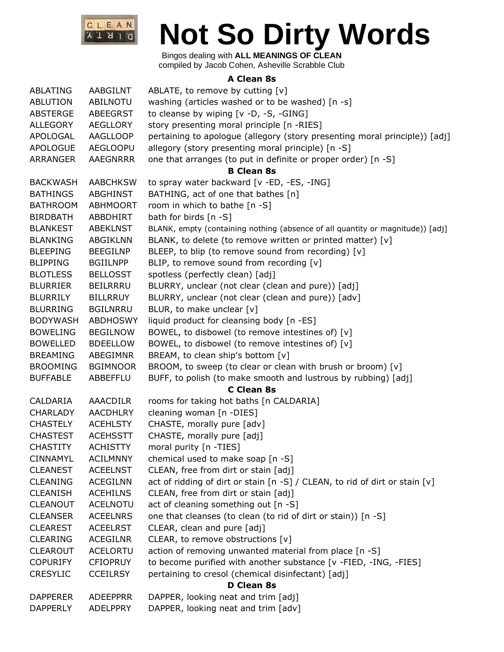

Bingos dealing with **ALL MEANINGS OF CLEAN** compiled by Jacob Cohen, Asheville Scrabble Club

#### **A Clean 8s**

| ABLATING        | AABGILNT        | ABLATE, to remove by cutting [v]                                               |
|-----------------|-----------------|--------------------------------------------------------------------------------|
| ABLUTION        | <b>ABILNOTU</b> | washing (articles washed or to be washed) [n -s]                               |
| ABSTERGE        | <b>ABEEGRST</b> | to cleanse by wiping [v -D, -S, -GING]                                         |
| ALLEGORY        | AEGLLORY        | story presenting moral principle [n -RIES]                                     |
| APOLOGAL        | <b>AAGLLOOP</b> | pertaining to apologue (allegory (story presenting moral principle)) [adj]     |
| <b>APOLOGUE</b> | <b>AEGLOOPU</b> | allegory (story presenting moral principle) [n -S]                             |
| ARRANGER        | <b>AAEGNRRR</b> | one that arranges (to put in definite or proper order) [n -S]                  |
|                 |                 | <b>B Clean 8s</b>                                                              |
| <b>BACKWASH</b> | <b>AABCHKSW</b> | to spray water backward [v -ED, -ES, -ING]                                     |
| <b>BATHINGS</b> | ABGHINST        | BATHING, act of one that bathes [n]                                            |
| <b>BATHROOM</b> | <b>ABHMOORT</b> | room in which to bathe [n -S]                                                  |
| <b>BIRDBATH</b> | ABBDHIRT        | bath for birds [n -S]                                                          |
| <b>BLANKEST</b> | <b>ABEKLNST</b> | BLANK, empty (containing nothing (absence of all quantity or magnitude)) [adj] |
| <b>BLANKING</b> | <b>ABGIKLNN</b> | BLANK, to delete (to remove written or printed matter) [v]                     |
| <b>BLEEPING</b> | <b>BEEGILNP</b> | BLEEP, to blip (to remove sound from recording) [v]                            |
| <b>BLIPPING</b> | <b>BGIILNPP</b> | BLIP, to remove sound from recording [v]                                       |
| <b>BLOTLESS</b> | <b>BELLOSST</b> | spotless (perfectly clean) [adj]                                               |
| <b>BLURRIER</b> | BEILRRRU        | BLURRY, unclear (not clear (clean and pure)) [adj]                             |
| <b>BLURRILY</b> | <b>BILLRRUY</b> | BLURRY, unclear (not clear (clean and pure)) [adv]                             |
| <b>BLURRING</b> | <b>BGILNRRU</b> | BLUR, to make unclear [v]                                                      |
| <b>BODYWASH</b> | <b>ABDHOSWY</b> | liquid product for cleansing body [n -ES]                                      |
| <b>BOWELING</b> | <b>BEGILNOW</b> | BOWEL, to disbowel (to remove intestines of) [v]                               |
| <b>BOWELLED</b> | <b>BDEELLOW</b> | BOWEL, to disbowel (to remove intestines of) [v]                               |
| <b>BREAMING</b> | ABEGIMNR        | BREAM, to clean ship's bottom [v]                                              |
| <b>BROOMING</b> | <b>BGIMNOOR</b> | BROOM, to sweep (to clear or clean with brush or broom) [v]                    |
| <b>BUFFABLE</b> | ABBEFFLU        | BUFF, to polish (to make smooth and lustrous by rubbing) [adj]                 |
|                 |                 | <b>C</b> Clean 8s                                                              |
| CALDARIA        | <b>AAACDILR</b> | rooms for taking hot baths [n CALDARIA]                                        |
| <b>CHARLADY</b> | <b>AACDHLRY</b> | cleaning woman [n -DIES]                                                       |
| <b>CHASTELY</b> | <b>ACEHLSTY</b> | CHASTE, morally pure [adv]                                                     |
| <b>CHASTEST</b> | <b>ACEHSSTT</b> | CHASTE, morally pure [adj]                                                     |
| <b>CHASTITY</b> | <b>ACHISTTY</b> | moral purity [n -TIES]                                                         |
| <b>CINNAMYL</b> | <b>ACILMNNY</b> | chemical used to make soap [n -S]                                              |
| <b>CLEANEST</b> | <b>ACEELNST</b> | CLEAN, free from dirt or stain [adj]                                           |
| <b>CLEANING</b> | <b>ACEGILNN</b> | act of ridding of dirt or stain [n -S] / CLEAN, to rid of dirt or stain [v]    |
| <b>CLEANISH</b> | <b>ACEHILNS</b> | CLEAN, free from dirt or stain [adj]                                           |
| <b>CLEANOUT</b> | <b>ACELNOTU</b> | act of cleaning something out [n -S]                                           |
| <b>CLEANSER</b> | <b>ACEELNRS</b> | one that cleanses (to clean (to rid of dirt or stain)) [n -S]                  |
| <b>CLEAREST</b> | <b>ACEELRST</b> | CLEAR, clean and pure [adj]                                                    |
| <b>CLEARING</b> | <b>ACEGILNR</b> | CLEAR, to remove obstructions [v]                                              |
| <b>CLEAROUT</b> | <b>ACELORTU</b> | action of removing unwanted material from place [n -S]                         |
| <b>COPURIFY</b> | <b>CFIOPRUY</b> | to become purified with another substance [v -FIED, -ING, -FIES]               |
| <b>CRESYLIC</b> | <b>CCEILRSY</b> | pertaining to cresol (chemical disinfectant) [adj]                             |
|                 |                 | D Clean 8s                                                                     |
| <b>DAPPERER</b> | <b>ADEEPPRR</b> | DAPPER, looking neat and trim [adj]                                            |
| <b>DAPPERLY</b> | <b>ADELPPRY</b> | DAPPER, looking neat and trim [adv]                                            |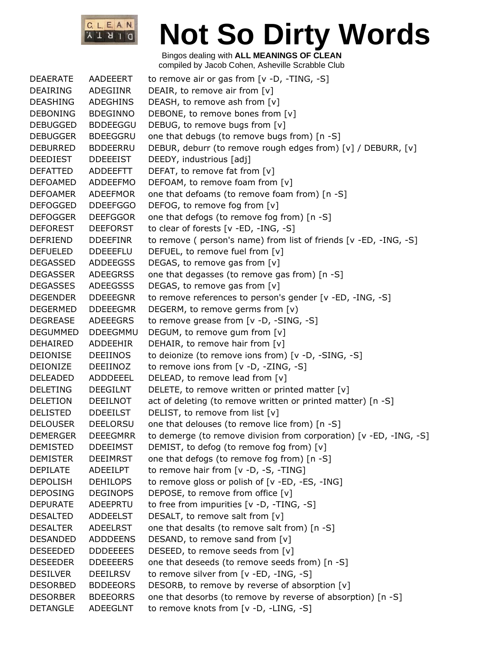

| <b>DEAERATE</b> | AADEEERT        | to remove air or gas from $[v -D, -TING, -S]$                      |
|-----------------|-----------------|--------------------------------------------------------------------|
| DEAIRING        | ADEGIINR        | DEAIR, to remove air from [v]                                      |
| <b>DEASHING</b> | <b>ADEGHINS</b> | DEASH, to remove ash from [v]                                      |
| <b>DEBONING</b> | <b>BDEGINNO</b> | DEBONE, to remove bones from [v]                                   |
| <b>DEBUGGED</b> | <b>BDDEEGGU</b> | DEBUG, to remove bugs from [v]                                     |
| <b>DEBUGGER</b> | <b>BDEEGGRU</b> | one that debugs (to remove bugs from) [n -S]                       |
| <b>DEBURRED</b> | <b>BDDEERRU</b> | DEBUR, deburr (to remove rough edges from) [v] / DEBURR, [v]       |
| DEEDIEST        | <b>DDEEEIST</b> | DEEDY, industrious [adj]                                           |
| <b>DEFATTED</b> | ADDEEFTT        | DEFAT, to remove fat from [v]                                      |
| <b>DEFOAMED</b> | <b>ADDEEFMO</b> | DEFOAM, to remove foam from [v]                                    |
| <b>DEFOAMER</b> | <b>ADEEFMOR</b> | one that defoams (to remove foam from) [n -S]                      |
| <b>DEFOGGED</b> | <b>DDEEFGGO</b> | DEFOG, to remove fog from [v]                                      |
| <b>DEFOGGER</b> | <b>DEEFGGOR</b> | one that defogs (to remove fog from) [n -S]                        |
| <b>DEFOREST</b> | <b>DEEFORST</b> | to clear of forests [v -ED, -ING, -S]                              |
| DEFRIEND        | <b>DDEEFINR</b> | to remove (person's name) from list of friends [v -ED, -ING, -S]   |
| <b>DEFUELED</b> | <b>DDEEEFLU</b> | DEFUEL, to remove fuel from [v]                                    |
| <b>DEGASSED</b> | <b>ADDEEGSS</b> | DEGAS, to remove gas from [v]                                      |
| <b>DEGASSER</b> | <b>ADEEGRSS</b> | one that degasses (to remove gas from) [n -S]                      |
| <b>DEGASSES</b> | <b>ADEEGSSS</b> | DEGAS, to remove gas from [v]                                      |
| <b>DEGENDER</b> | <b>DDEEEGNR</b> | to remove references to person's gender [v -ED, -ING, -S]          |
| <b>DEGERMED</b> | <b>DDEEEGMR</b> | DEGERM, to remove germs from [v)                                   |
| <b>DEGREASE</b> | ADEEEGRS        | to remove grease from [v -D, -SING, -S]                            |
| <b>DEGUMMED</b> | <b>DDEEGMMU</b> | DEGUM, to remove gum from [v]                                      |
| DEHAIRED        | ADDEEHIR        | DEHAIR, to remove hair from [v]                                    |
| <b>DEIONISE</b> | <b>DEEIINOS</b> | to deionize (to remove ions from) [v -D, -SING, -S]                |
| <b>DEIONIZE</b> | DEEIINOZ        | to remove ions from [v -D, -ZING, -S]                              |
| DELEADED        | ADDDEEEL        | DELEAD, to remove lead from [v]                                    |
| <b>DELETING</b> | <b>DEEGILNT</b> | DELETE, to remove written or printed matter [v]                    |
| <b>DELETION</b> | <b>DEEILNOT</b> | act of deleting (to remove written or printed matter) [n -S]       |
| <b>DELISTED</b> | <b>DDEEILST</b> | DELIST, to remove from list [v]                                    |
| <b>DELOUSER</b> | <b>DEELORSU</b> | one that delouses (to remove lice from) [n -S]                     |
| <b>DEMERGER</b> | <b>DEEEGMRR</b> | to demerge (to remove division from corporation) [v -ED, -ING, -S] |
| <b>DEMISTED</b> | <b>DDEEIMST</b> | DEMIST, to defog (to remove fog from) [v]                          |
| <b>DEMISTER</b> | <b>DEEIMRST</b> | one that defogs (to remove fog from) [n -S]                        |
| <b>DEPILATE</b> | <b>ADEEILPT</b> | to remove hair from [v -D, -S, -TING]                              |
| <b>DEPOLISH</b> | <b>DEHILOPS</b> | to remove gloss or polish of [v -ED, -ES, -ING]                    |
| <b>DEPOSING</b> | <b>DEGINOPS</b> | DEPOSE, to remove from office [v]                                  |
| <b>DEPURATE</b> | ADEEPRTU        | to free from impurities [v -D, -TING, -S]                          |
| <b>DESALTED</b> | <b>ADDEELST</b> | DESALT, to remove salt from [v]                                    |
| <b>DESALTER</b> | <b>ADEELRST</b> | one that desalts (to remove salt from) [n -S]                      |
| <b>DESANDED</b> | <b>ADDDEENS</b> | DESAND, to remove sand from [v]                                    |
| <b>DESEEDED</b> | <b>DDDEEEES</b> | DESEED, to remove seeds from [v]                                   |
| <b>DESEEDER</b> | <b>DDEEEERS</b> | one that deseeds (to remove seeds from) [n -S]                     |
| <b>DESILVER</b> | <b>DEEILRSV</b> | to remove silver from [v -ED, -ING, -S]                            |
| <b>DESORBED</b> | <b>BDDEEORS</b> | DESORB, to remove by reverse of absorption [v]                     |
| <b>DESORBER</b> | <b>BDEEORRS</b> | one that desorbs (to remove by reverse of absorption) [n -S]       |
| <b>DETANGLE</b> | <b>ADEEGLNT</b> | to remove knots from [v -D, -LING, -S]                             |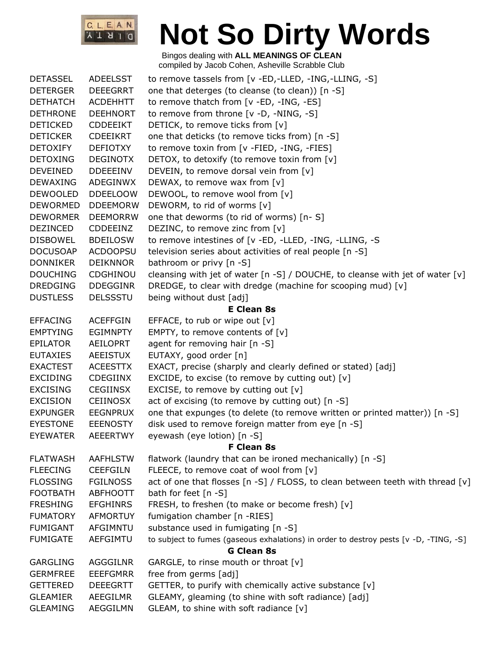

| <b>DETASSEL</b> | <b>ADEELSST</b> | to remove tassels from [v -ED,-LLED, -ING,-LLING, -S]                                 |
|-----------------|-----------------|---------------------------------------------------------------------------------------|
| <b>DETERGER</b> | <b>DEEEGRRT</b> | one that deterges (to cleanse (to clean)) [n -S]                                      |
| <b>DETHATCH</b> | <b>ACDEHHTT</b> | to remove thatch from [v -ED, -ING, -ES]                                              |
| <b>DETHRONE</b> | <b>DEEHNORT</b> | to remove from throne [v -D, -NING, -S]                                               |
| <b>DETICKED</b> | <b>CDDEEIKT</b> | DETICK, to remove ticks from [v]                                                      |
| <b>DETICKER</b> | <b>CDEEIKRT</b> | one that deticks (to remove ticks from) [n -S]                                        |
| <b>DETOXIFY</b> | DEFIOTXY        | to remove toxin from [v -FIED, -ING, -FIES]                                           |
| <b>DETOXING</b> | <b>DEGINOTX</b> | DETOX, to detoxify (to remove toxin from [v]                                          |
| <b>DEVEINED</b> | <b>DDEEEINV</b> | DEVEIN, to remove dorsal vein from [v]                                                |
| <b>DEWAXING</b> | ADEGINWX        | DEWAX, to remove wax from [v]                                                         |
| <b>DEWOOLED</b> | <b>DDEELOOW</b> | DEWOOL, to remove wool from [v]                                                       |
| <b>DEWORMED</b> | <b>DDEEMORW</b> | DEWORM, to rid of worms [v]                                                           |
| <b>DEWORMER</b> | <b>DEEMORRW</b> | one that deworms (to rid of worms) [n-S]                                              |
| <b>DEZINCED</b> | <b>CDDEEINZ</b> | DEZINC, to remove zinc from [v]                                                       |
| <b>DISBOWEL</b> | <b>BDEILOSW</b> | to remove intestines of [v -ED, -LLED, -ING, -LLING, -S                               |
| <b>DOCUSOAP</b> | <b>ACDOOPSU</b> | television series about activities of real people [n -S]                              |
| <b>DONNIKER</b> | <b>DEIKNNOR</b> | bathroom or privy [n -S]                                                              |
| <b>DOUCHING</b> | CDGHINOU        | cleansing with jet of water [n -S] / DOUCHE, to cleanse with jet of water $[v]$       |
| <b>DREDGING</b> | <b>DDEGGINR</b> | DREDGE, to clear with dredge (machine for scooping mud) [v]                           |
| <b>DUSTLESS</b> | <b>DELSSSTU</b> | being without dust [adj]                                                              |
|                 |                 | <b>E Clean 8s</b>                                                                     |
| <b>EFFACING</b> | <b>ACEFFGIN</b> | EFFACE, to rub or wipe out $[v]$                                                      |
| <b>EMPTYING</b> | <b>EGIMNPTY</b> | EMPTY, to remove contents of [v]                                                      |
| <b>EPILATOR</b> | <b>AEILOPRT</b> | agent for removing hair [n -S]                                                        |
| <b>EUTAXIES</b> | <b>AEEISTUX</b> | EUTAXY, good order [n]                                                                |
| <b>EXACTEST</b> | <b>ACEESTTX</b> | EXACT, precise (sharply and clearly defined or stated) [adj]                          |
| <b>EXCIDING</b> | <b>CDEGIINX</b> | EXCIDE, to excise (to remove by cutting out) $[v]$                                    |
| <b>EXCISING</b> | <b>CEGIINSX</b> | EXCISE, to remove by cutting out $[v]$                                                |
| <b>EXCISION</b> | <b>CEIINOSX</b> | act of excising (to remove by cutting out) [n -S]                                     |
| <b>EXPUNGER</b> | <b>EEGNPRUX</b> | one that expunges (to delete (to remove written or printed matter)) [n -S]            |
| <b>EYESTONE</b> | <b>EEENOSTY</b> | disk used to remove foreign matter from eye [n -S]                                    |
| <b>EYEWATER</b> | <b>AEEERTWY</b> | eyewash (eye lotion) [n -S]                                                           |
|                 |                 | <b>F Clean 8s</b>                                                                     |
| <b>FLATWASH</b> | <b>AAFHLSTW</b> | flatwork (laundry that can be ironed mechanically) [n -S]                             |
| <b>FLEECING</b> | <b>CEEFGILN</b> | FLEECE, to remove coat of wool from [v]                                               |
| <b>FLOSSING</b> | <b>FGILNOSS</b> | act of one that flosses [n -S] / FLOSS, to clean between teeth with thread [v]        |
| <b>FOOTBATH</b> | <b>ABFHOOTT</b> | bath for feet [n -S]                                                                  |
| <b>FRESHING</b> | <b>EFGHINRS</b> | FRESH, to freshen (to make or become fresh) [v]                                       |
| <b>FUMATORY</b> | <b>AFMORTUY</b> | fumigation chamber [n -RIES]                                                          |
| <b>FUMIGANT</b> | AFGIMNTU        | substance used in fumigating [n -S]                                                   |
| <b>FUMIGATE</b> | AEFGIMTU        | to subject to fumes (gaseous exhalations) in order to destroy pests [v -D, -TING, -S] |
|                 |                 | <b>G Clean 8s</b>                                                                     |
| <b>GARGLING</b> | <b>AGGGILNR</b> | GARGLE, to rinse mouth or throat $[v]$                                                |
| <b>GERMFREE</b> | <b>EEEFGMRR</b> | free from germs [adj]                                                                 |
| <b>GETTERED</b> | <b>DEEEGRTT</b> | GETTER, to purify with chemically active substance [v]                                |
| <b>GLEAMIER</b> | AEEGILMR        | GLEAMY, gleaming (to shine with soft radiance) [adj]                                  |
| <b>GLEAMING</b> | AEGGILMN        | GLEAM, to shine with soft radiance [v]                                                |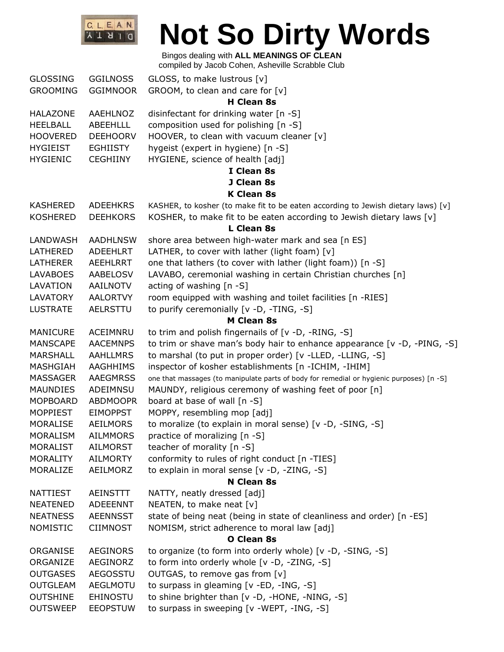

### Bingos dealing with **ALL MEANINGS OF CLEAN**

compiled by Jacob Cohen, Asheville Scrabble Club

| <b>GLOSSING</b> | <b>GGILNOSS</b> | GLOSS, to make lustrous [v]                                                              |
|-----------------|-----------------|------------------------------------------------------------------------------------------|
| <b>GROOMING</b> | <b>GGIMNOOR</b> | GROOM, to clean and care for [v]                                                         |
|                 |                 | <b>H</b> Clean 8s                                                                        |
| <b>HALAZONE</b> | AAEHLNOZ        | disinfectant for drinking water [n -S]                                                   |
| <b>HEELBALL</b> | ABEEHLLL        | composition used for polishing [n -S]                                                    |
| <b>HOOVERED</b> | <b>DEEHOORV</b> | HOOVER, to clean with vacuum cleaner [v]                                                 |
| <b>HYGIEIST</b> | <b>EGHIISTY</b> | hygeist (expert in hygiene) [n -S]                                                       |
| <b>HYGIENIC</b> | <b>CEGHIINY</b> | HYGIENE, science of health [adj]                                                         |
|                 |                 | I Clean 8s                                                                               |
|                 |                 | J Clean 8s                                                                               |
|                 |                 | <b>K Clean 8s</b>                                                                        |
| <b>KASHERED</b> | <b>ADEEHKRS</b> | KASHER, to kosher (to make fit to be eaten according to Jewish dietary laws) [v]         |
| <b>KOSHERED</b> | <b>DEEHKORS</b> | KOSHER, to make fit to be eaten according to Jewish dietary laws [v]                     |
|                 |                 | L Clean 8s                                                                               |
| LANDWASH        | <b>AADHLNSW</b> | shore area between high-water mark and sea [n ES]                                        |
| LATHERED        | ADEEHLRT        | LATHER, to cover with lather (light foam) $[v]$                                          |
| <b>LATHERER</b> | AEEHLRRT        | one that lathers (to cover with lather (light foam)) [n -S]                              |
| <b>LAVABOES</b> | AABELOSV        | LAVABO, ceremonial washing in certain Christian churches [n]                             |
| LAVATION        | AAILNOTV        | acting of washing [n -S]                                                                 |
| <b>LAVATORY</b> | <b>AALORTVY</b> | room equipped with washing and toilet facilities [n -RIES]                               |
| <b>LUSTRATE</b> | <b>AELRSTTU</b> | to purify ceremonially [v -D, -TING, -S]                                                 |
|                 |                 | <b>M Clean 8s</b>                                                                        |
| <b>MANICURE</b> | ACEIMNRU        | to trim and polish fingernails of [v -D, -RING, -S]                                      |
| <b>MANSCAPE</b> | <b>AACEMNPS</b> | to trim or shave man's body hair to enhance appearance [v -D, -PING, -S]                 |
| MARSHALL        | <b>AAHLLMRS</b> | to marshal (to put in proper order) [v -LLED, -LLING, -S]                                |
| MASHGIAH        | <b>AAGHHIMS</b> | inspector of kosher establishments [n -ICHIM, -IHIM]                                     |
| MASSAGER        | <b>AAEGMRSS</b> | one that massages (to manipulate parts of body for remedial or hygienic purposes) [n -S] |
| <b>MAUNDIES</b> | ADEIMNSU        | MAUNDY, religious ceremony of washing feet of poor [n]                                   |
| <b>MOPBOARD</b> | <b>ABDMOOPR</b> | board at base of wall [n -S]                                                             |
| <b>MOPPIEST</b> | <b>EIMOPPST</b> | MOPPY, resembling mop [adj]                                                              |
| <b>MORALISE</b> | AEILMORS        | to moralize (to explain in moral sense) [v -D, -SING, -S]                                |
| <b>MORALISM</b> | <b>AILMMORS</b> | practice of moralizing [n -S]                                                            |
| <b>MORALIST</b> | <b>AILMORST</b> | teacher of morality $[n - S]$                                                            |
| <b>MORALITY</b> | <b>AILMORTY</b> | conformity to rules of right conduct [n -TIES]                                           |
| MORALIZE        | AEILMORZ        | to explain in moral sense [v -D, -ZING, -S]                                              |
|                 |                 | N Clean 8s                                                                               |
| <b>NATTIEST</b> | <b>AEINSTTT</b> | NATTY, neatly dressed [adj]                                                              |
| <b>NEATENED</b> | ADEEENNT        | NEATEN, to make neat [v]                                                                 |
| <b>NEATNESS</b> | <b>AEENNSST</b> | state of being neat (being in state of cleanliness and order) [n -ES]                    |
| <b>NOMISTIC</b> | <b>CIIMNOST</b> | NOMISM, strict adherence to moral law [adj]                                              |
|                 |                 | <b>O Clean 8s</b>                                                                        |
| ORGANISE        | <b>AEGINORS</b> | to organize (to form into orderly whole) [v -D, -SING, -S]                               |
| ORGANIZE        | AEGINORZ        | to form into orderly whole [v -D, -ZING, -S]                                             |
| <b>OUTGASES</b> | <b>AEGOSSTU</b> | OUTGAS, to remove gas from [v]                                                           |
| <b>OUTGLEAM</b> | AEGLMOTU        | to surpass in gleaming [v -ED, -ING, -S]                                                 |
| <b>OUTSHINE</b> | <b>EHINOSTU</b> | to shine brighter than [v -D, -HONE, -NING, -S]                                          |
| <b>OUTSWEEP</b> | <b>EEOPSTUW</b> | to surpass in sweeping [v -WEPT, -ING, -S]                                               |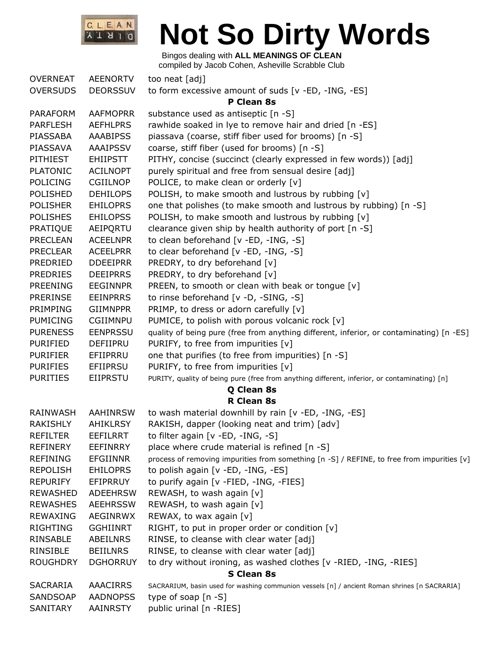

| <b>OVERNEAT</b>   | <b>AEENORTV</b> | too neat [adj]                                                                               |  |
|-------------------|-----------------|----------------------------------------------------------------------------------------------|--|
| <b>OVERSUDS</b>   | <b>DEORSSUV</b> | to form excessive amount of suds [v -ED, -ING, -ES]                                          |  |
|                   |                 | P Clean 8s                                                                                   |  |
| <b>PARAFORM</b>   | <b>AAFMOPRR</b> | substance used as antiseptic [n -S]                                                          |  |
| PARFLESH          | <b>AEFHLPRS</b> | rawhide soaked in lye to remove hair and dried [n -ES]                                       |  |
| PIASSABA          | <b>AAABIPSS</b> | piassava (coarse, stiff fiber used for brooms) [n -S]                                        |  |
| PIASSAVA          | AAAIPSSV        | coarse, stiff fiber (used for brooms) [n -S]                                                 |  |
| PITHIEST          | <b>EHIIPSTT</b> | PITHY, concise (succinct (clearly expressed in few words)) [adj]                             |  |
| <b>PLATONIC</b>   | <b>ACILNOPT</b> | purely spiritual and free from sensual desire [adj]                                          |  |
| <b>POLICING</b>   | <b>CGIILNOP</b> | POLICE, to make clean or orderly [v]                                                         |  |
| <b>POLISHED</b>   | <b>DEHILOPS</b> | POLISH, to make smooth and lustrous by rubbing [v]                                           |  |
| <b>POLISHER</b>   | <b>EHILOPRS</b> | one that polishes (to make smooth and lustrous by rubbing) [n -S]                            |  |
| <b>POLISHES</b>   | <b>EHILOPSS</b> | POLISH, to make smooth and lustrous by rubbing [v]                                           |  |
| PRATIQUE          | AEIPQRTU        | clearance given ship by health authority of port [n -S]                                      |  |
| <b>PRECLEAN</b>   | <b>ACEELNPR</b> | to clean beforehand [v -ED, -ING, -S]                                                        |  |
| <b>PRECLEAR</b>   | <b>ACEELPRR</b> | to clear beforehand [v -ED, -ING, -S]                                                        |  |
| PREDRIED          | <b>DDEEIPRR</b> | PREDRY, to dry beforehand [v]                                                                |  |
| <b>PREDRIES</b>   | <b>DEEIPRRS</b> | PREDRY, to dry beforehand [v]                                                                |  |
| <b>PREENING</b>   | <b>EEGINNPR</b> | PREEN, to smooth or clean with beak or tongue [v]                                            |  |
| <b>PRERINSE</b>   | <b>EEINPRRS</b> | to rinse beforehand [v -D, -SING, -S]                                                        |  |
| PRIMPING          | <b>GIIMNPPR</b> | PRIMP, to dress or adorn carefully [v]                                                       |  |
| <b>PUMICING</b>   | <b>CGIIMNPU</b> | PUMICE, to polish with porous volcanic rock [v]                                              |  |
| <b>PURENESS</b>   | <b>EENPRSSU</b> | quality of being pure (free from anything different, inferior, or contaminating) [n -ES]     |  |
| PURIFIED          | DEFIIPRU        | PURIFY, to free from impurities [v]                                                          |  |
| <b>PURIFIER</b>   | EFIIPRRU        | one that purifies (to free from impurities) [n -S]                                           |  |
| <b>PURIFIES</b>   | <b>EFIIPRSU</b> | PURIFY, to free from impurities [v]                                                          |  |
| <b>PURITIES</b>   | EIIPRSTU        | PURITY, quality of being pure (free from anything different, inferior, or contaminating) [n] |  |
|                   |                 | Q Clean 8s                                                                                   |  |
|                   |                 | <b>R</b> Clean 8s                                                                            |  |
| <b>RAINWASH</b>   | <b>AAHINRSW</b> | to wash material downhill by rain [v -ED, -ING, -ES]                                         |  |
| RAKISHLY          | <b>AHIKLRSY</b> | RAKISH, dapper (looking neat and trim) [adv]                                                 |  |
| <b>REFILTER</b>   | <b>EEFILRRT</b> | to filter again $[v - ED, -ING, -S]$                                                         |  |
| <b>REFINERY</b>   | <b>EEFINRRY</b> | place where crude material is refined [n -S]                                                 |  |
| <b>REFINING</b>   | <b>EFGIINNR</b> | process of removing impurities from something [n -S] / REFINE, to free from impurities [v]   |  |
| <b>REPOLISH</b>   | <b>EHILOPRS</b> | to polish again [v -ED, -ING, -ES]                                                           |  |
| <b>REPURIFY</b>   | EFIPRRUY        | to purify again [v -FIED, -ING, -FIES]                                                       |  |
| <b>REWASHED</b>   | <b>ADEEHRSW</b> | REWASH, to wash again [v]                                                                    |  |
| <b>REWASHES</b>   | <b>AEEHRSSW</b> | REWASH, to wash again [v]                                                                    |  |
| <b>REWAXING</b>   | <b>AEGINRWX</b> | REWAX, to wax again [v]                                                                      |  |
| RIGHTING          | <b>GGHIINRT</b> | RIGHT, to put in proper order or condition [v]                                               |  |
| <b>RINSABLE</b>   | ABEILNRS        | RINSE, to cleanse with clear water [adj]                                                     |  |
| RINSIBLE          | <b>BEIILNRS</b> | RINSE, to cleanse with clear water [adj]                                                     |  |
| <b>ROUGHDRY</b>   | <b>DGHORRUY</b> | to dry without ironing, as washed clothes [v -RIED, -ING, -RIES]                             |  |
| <b>S Clean 8s</b> |                 |                                                                                              |  |
| <b>SACRARIA</b>   | <b>AAACIRRS</b> | SACRARIUM, basin used for washing communion vessels [n] / ancient Roman shrines [n SACRARIA] |  |
| SANDSOAP          | <b>AADNOPSS</b> | type of soap $[n - S]$                                                                       |  |
| SANITARY          | <b>AAINRSTY</b> | public urinal [n -RIES]                                                                      |  |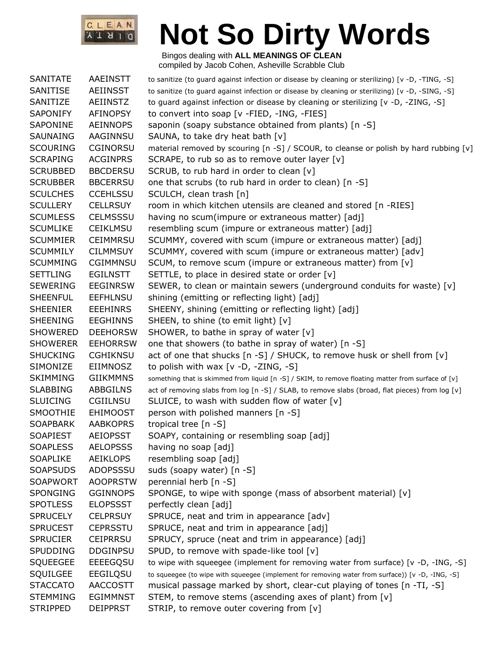

| <b>SANITATE</b> | <b>AAEINSTT</b> | to sanitize (to guard against infection or disease by cleaning or sterilizing) [v -D, -TING, -S]   |
|-----------------|-----------------|----------------------------------------------------------------------------------------------------|
| SANITISE        | <b>AEIINSST</b> | to sanitize (to guard against infection or disease by cleaning or sterilizing) [v -D, -SING, -S]   |
| SANITIZE        | <b>AEIINSTZ</b> | to guard against infection or disease by cleaning or sterilizing [v -D, -ZING, -S]                 |
| <b>SAPONIFY</b> | <b>AFINOPSY</b> | to convert into soap [v -FIED, -ING, -FIES]                                                        |
| SAPONINE        | <b>AEINNOPS</b> | saponin (soapy substance obtained from plants) [n -S]                                              |
| SAUNAING        | AAGINNSU        | SAUNA, to take dry heat bath [v]                                                                   |
| <b>SCOURING</b> | <b>CGINORSU</b> | material removed by scouring [n -S] / SCOUR, to cleanse or polish by hard rubbing [v]              |
| <b>SCRAPING</b> | <b>ACGINPRS</b> | SCRAPE, to rub so as to remove outer layer [v]                                                     |
| <b>SCRUBBED</b> | <b>BBCDERSU</b> | SCRUB, to rub hard in order to clean [v]                                                           |
| <b>SCRUBBER</b> | <b>BBCERRSU</b> | one that scrubs (to rub hard in order to clean) [n -S]                                             |
| <b>SCULCHES</b> | <b>CCEHLSSU</b> | SCULCH, clean trash [n]                                                                            |
| <b>SCULLERY</b> | <b>CELLRSUY</b> | room in which kitchen utensils are cleaned and stored [n -RIES]                                    |
| <b>SCUMLESS</b> | <b>CELMSSSU</b> | having no scum(impure or extraneous matter) [adj]                                                  |
| <b>SCUMLIKE</b> | <b>CEIKLMSU</b> | resembling scum (impure or extraneous matter) [adj]                                                |
| <b>SCUMMIER</b> | <b>CEIMMRSU</b> | SCUMMY, covered with scum (impure or extraneous matter) [adj]                                      |
| <b>SCUMMILY</b> | <b>CILMMSUY</b> | SCUMMY, covered with scum (impure or extraneous matter) [adv]                                      |
| <b>SCUMMING</b> | <b>CGIMMNSU</b> | SCUM, to remove scum (impure or extraneous matter) from [v]                                        |
| <b>SETTLING</b> | <b>EGILNSTT</b> | SETTLE, to place in desired state or order [v]                                                     |
| <b>SEWERING</b> | <b>EEGINRSW</b> | SEWER, to clean or maintain sewers (underground conduits for waste) [v]                            |
| <b>SHEENFUL</b> | <b>EEFHLNSU</b> | shining (emitting or reflecting light) [adj]                                                       |
| <b>SHEENIER</b> | <b>EEEHINRS</b> | SHEENY, shining (emitting or reflecting light) [adj]                                               |
| <b>SHEENING</b> | <b>EEGHINNS</b> | SHEEN, to shine (to emit light) [v]                                                                |
| <b>SHOWERED</b> | <b>DEEHORSW</b> | SHOWER, to bathe in spray of water [v]                                                             |
| <b>SHOWERER</b> | <b>EEHORRSW</b> | one that showers (to bathe in spray of water) [n -S]                                               |
| <b>SHUCKING</b> | <b>CGHIKNSU</b> | act of one that shucks [n -S] / SHUCK, to remove husk or shell from [v]                            |
| SIMONIZE        | <b>EIIMNOSZ</b> | to polish with wax $[v -D, -ZING, -S]$                                                             |
| <b>SKIMMING</b> | <b>GIIKMMNS</b> | something that is skimmed from liquid [n -S] / SKIM, to remove floating matter from surface of [v] |
| <b>SLABBING</b> | ABBGILNS        | act of removing slabs from log [n -S] / SLAB, to remove slabs (broad, flat pieces) from log [v]    |
| <b>SLUICING</b> | CGIILNSU        | SLUICE, to wash with sudden flow of water [v]                                                      |
| SMOOTHIE        | <b>EHIMOOST</b> | person with polished manners [n -S]                                                                |
| <b>SOAPBARK</b> | <b>AABKOPRS</b> | tropical tree [n -S]                                                                               |
| <b>SOAPIEST</b> | <b>AEIOPSST</b> | SOAPY, containing or resembling soap [adj]                                                         |
| <b>SOAPLESS</b> | <b>AELOPSSS</b> | having no soap [adj]                                                                               |
| <b>SOAPLIKE</b> | <b>AEIKLOPS</b> | resembling soap [adj]                                                                              |
| <b>SOAPSUDS</b> | ADOPSSSU        | suds (soapy water) [n -S]                                                                          |
| <b>SOAPWORT</b> | <b>AOOPRSTW</b> | perennial herb [n -S]                                                                              |
| <b>SPONGING</b> | <b>GGINNOPS</b> | SPONGE, to wipe with sponge (mass of absorbent material) [v]                                       |
| <b>SPOTLESS</b> | <b>ELOPSSST</b> | perfectly clean [adj]                                                                              |
| <b>SPRUCELY</b> | <b>CELPRSUY</b> | SPRUCE, neat and trim in appearance [adv]                                                          |
| <b>SPRUCEST</b> | <b>CEPRSSTU</b> | SPRUCE, neat and trim in appearance [adj]                                                          |
| <b>SPRUCIER</b> | <b>CEIPRRSU</b> | SPRUCY, spruce (neat and trim in appearance) [adj]                                                 |
| <b>SPUDDING</b> | <b>DDGINPSU</b> | SPUD, to remove with spade-like tool [v]                                                           |
| <b>SQUEEGEE</b> | EEEEGQSU        | to wipe with squeegee (implement for removing water from surface) [v -D, -ING, -S]                 |
| SQUILGEE        | EEGILQSU        | to squeegee (to wipe with squeegee (implement for removing water from surface)) [v -D, -ING, -S]   |
| <b>STACCATO</b> | <b>AACCOSTT</b> | musical passage marked by short, clear-cut playing of tones [n -TI, -S]                            |
| <b>STEMMING</b> | <b>EGIMMNST</b> | STEM, to remove stems (ascending axes of plant) from [v]                                           |
| <b>STRIPPED</b> | <b>DEIPPRST</b> | STRIP, to remove outer covering from [v]                                                           |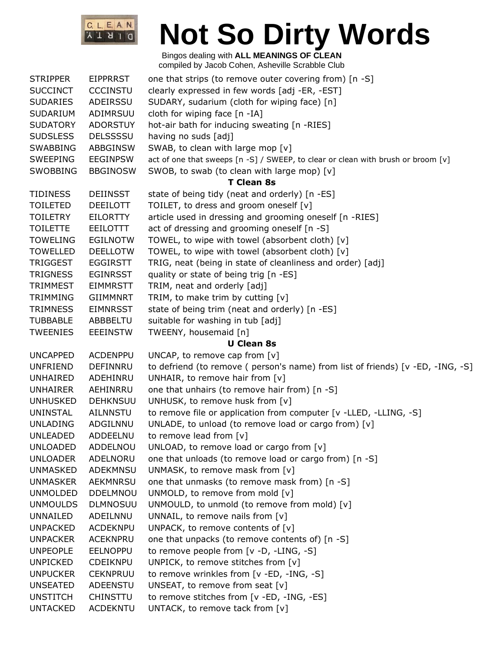

| <b>STRIPPER</b> | <b>EIPPRRST</b> | one that strips (to remove outer covering from) [n -S]                           |
|-----------------|-----------------|----------------------------------------------------------------------------------|
| <b>SUCCINCT</b> | <b>CCCINSTU</b> | clearly expressed in few words [adj -ER, -EST]                                   |
| <b>SUDARIES</b> | ADEIRSSU        | SUDARY, sudarium (cloth for wiping face) [n]                                     |
| <b>SUDARIUM</b> | ADIMRSUU        | cloth for wiping face [n -IA]                                                    |
| <b>SUDATORY</b> | <b>ADORSTUY</b> | hot-air bath for inducing sweating [n -RIES]                                     |
| <b>SUDSLESS</b> | <b>DELSSSSU</b> | having no suds [adj]                                                             |
| <b>SWABBING</b> | ABBGINSW        | SWAB, to clean with large mop [v]                                                |
| <b>SWEEPING</b> | <b>EEGINPSW</b> | act of one that sweeps [n -S] / SWEEP, to clear or clean with brush or broom [v] |
| <b>SWOBBING</b> | <b>BBGINOSW</b> | SWOB, to swab (to clean with large mop) [v]                                      |
|                 |                 | <b>T Clean 8s</b>                                                                |
| <b>TIDINESS</b> | <b>DEIINSST</b> | state of being tidy (neat and orderly) [n -ES]                                   |
| <b>TOILETED</b> | <b>DEEILOTT</b> | TOILET, to dress and groom oneself [v]                                           |
| <b>TOILETRY</b> | <b>EILORTTY</b> | article used in dressing and grooming oneself [n -RIES]                          |
| <b>TOILETTE</b> | EEILOTTT        | act of dressing and grooming oneself [n -S]                                      |
| <b>TOWELING</b> | <b>EGILNOTW</b> | TOWEL, to wipe with towel (absorbent cloth) [v]                                  |
| <b>TOWELLED</b> | <b>DEELLOTW</b> | TOWEL, to wipe with towel (absorbent cloth) [v]                                  |
| <b>TRIGGEST</b> | <b>EGGIRSTT</b> | TRIG, neat (being in state of cleanliness and order) [adj]                       |
| <b>TRIGNESS</b> | <b>EGINRSST</b> | quality or state of being trig [n -ES]                                           |
| <b>TRIMMEST</b> | <b>EIMMRSTT</b> | TRIM, neat and orderly [adj]                                                     |
| <b>TRIMMING</b> | <b>GIIMMNRT</b> | TRIM, to make trim by cutting $[v]$                                              |
| <b>TRIMNESS</b> | <b>EIMNRSST</b> | state of being trim (neat and orderly) [n -ES]                                   |
| <b>TUBBABLE</b> | ABBBELTU        | suitable for washing in tub [adj]                                                |
| <b>TWEENIES</b> | <b>EEEINSTW</b> | TWEENY, housemaid [n]                                                            |
|                 |                 | <b>U</b> Clean 8s                                                                |
| <b>UNCAPPED</b> | <b>ACDENPPU</b> | UNCAP, to remove cap from $[v]$                                                  |
| <b>UNFRIEND</b> | DEFINNRU        | to defriend (to remove ( person's name) from list of friends) [v -ED, -ING, -S]  |
| UNHAIRED        | ADEHINRU        | UNHAIR, to remove hair from $[v]$                                                |
| <b>UNHAIRER</b> | AEHINRRU        | one that unhairs (to remove hair from) [n -S]                                    |
| <b>UNHUSKED</b> | <b>DEHKNSUU</b> | UNHUSK, to remove husk from [v]                                                  |
| <b>UNINSTAL</b> | AILNNSTU        | to remove file or application from computer [v -LLED, -LLING, -S]                |
| <b>UNLADING</b> | ADGILNNU        | UNLADE, to unload (to remove load or cargo from) [v]                             |
| <b>UNLEADED</b> | ADDEELNU        | to remove lead from $[v]$                                                        |
| <b>UNLOADED</b> | ADDELNOU        | UNLOAD, to remove load or cargo from $[v]$                                       |
| <b>UNLOADER</b> | ADELNORU        | one that unloads (to remove load or cargo from) [n -S]                           |
| <b>UNMASKED</b> | ADEKMNSU        | UNMASK, to remove mask from [v]                                                  |
| <b>UNMASKER</b> | AEKMNRSU        | one that unmasks (to remove mask from) [n -S]                                    |
| <b>UNMOLDED</b> | <b>DDELMNOU</b> | UNMOLD, to remove from mold [v]                                                  |
| <b>UNMOULDS</b> | <b>DLMNOSUU</b> | UNMOULD, to unmold (to remove from mold) [v]                                     |
| UNNAILED        | ADEILNNU        | UNNAIL, to remove nails from [v]                                                 |
| <b>UNPACKED</b> | <b>ACDEKNPU</b> | UNPACK, to remove contents of $[v]$                                              |
| <b>UNPACKER</b> | ACEKNPRU        | one that unpacks (to remove contents of) [n -S]                                  |
| <b>UNPEOPLE</b> | <b>EELNOPPU</b> | to remove people from $[v -D, -LING, -S]$                                        |
| <b>UNPICKED</b> | <b>CDEIKNPU</b> | UNPICK, to remove stitches from $[v]$                                            |
| <b>UNPUCKER</b> | <b>CEKNPRUU</b> | to remove wrinkles from [v -ED, -ING, -S]                                        |
| <b>UNSEATED</b> | ADEENSTU        | UNSEAT, to remove from seat [v]                                                  |
| <b>UNSTITCH</b> | <b>CHINSTTU</b> | to remove stitches from [v -ED, -ING, -ES]                                       |
| <b>UNTACKED</b> | <b>ACDEKNTU</b> | UNTACK, to remove tack from [v]                                                  |
|                 |                 |                                                                                  |